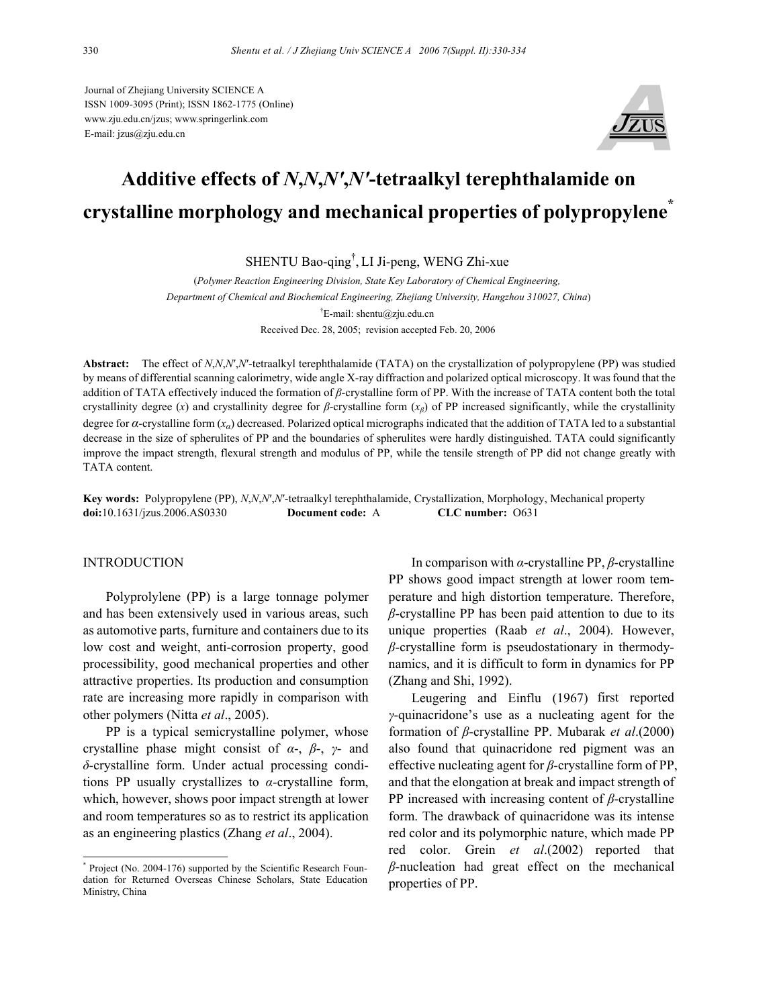Journal of Zhejiang University SCIENCE A ISSN 1009-3095 (Print); ISSN 1862-1775 (Online) www.zju.edu.cn/jzus; www.springerlink.com E-mail: jzus@zju.edu.cn



# **Additive effects of** *N***,***N***,***N′* **,***N′***-tetraalkyl terephthalamide on crystalline morphology and mechanical properties of polypropylene\***

SHENTU Bao-qing† , LI Ji-peng, WENG Zhi-xue

(*Polymer Reaction Engineering Division, State Key Laboratory of Chemical Engineering, Department of Chemical and Biochemical Engineering, Zhejiang University, Hangzhou 310027, China*) † E-mail: shentu@zju.edu.cn Received Dec. 28, 2005; revision accepted Feb. 20, 2006

**Abstract:** The effect of *N*,*N*,*N*′,*N*′-tetraalkyl terephthalamide (TATA) on the crystallization of polypropylene (PP) was studied by means of differential scanning calorimetry, wide angle X-ray diffraction and polarized optical microscopy. It was found that the addition of TATA effectively induced the formation of *β*-crystalline form of PP. With the increase of TATA content both the total crystallinity degree (*x*) and crystallinity degree for *β*-crystalline form (*xβ*) of PP increased significantly, while the crystallinity degree for *α*-crystalline form (*xα*) decreased. Polarized optical micrographs indicated that the addition of TATA led to a substantial decrease in the size of spherulites of PP and the boundaries of spherulites were hardly distinguished. TATA could significantly improve the impact strength, flexural strength and modulus of PP, while the tensile strength of PP did not change greatly with TATA content.

**Key words:** Polypropylene (PP), *N*,*N*,*N*′,*N*′-tetraalkyl terephthalamide, Crystallization, Morphology, Mechanical property **doi:**10.1631/jzus.2006.AS0330 **Document code:** A **CLC number:** O631

## INTRODUCTION

Polyprolylene (PP) is a large tonnage polymer and has been extensively used in various areas, such as automotive parts, furniture and containers due to its low cost and weight, anti-corrosion property, good processibility, good mechanical properties and other attractive properties. Its production and consumption rate are increasing more rapidly in comparison with other polymers (Nitta *et al*., 2005).

PP is a typical semicrystalline polymer, whose crystalline phase might consist of *α*-, *β*-, *γ*- and *δ*-crystalline form. Under actual processing conditions PP usually crystallizes to *α*-crystalline form, which, however, shows poor impact strength at lower and room temperatures so as to restrict its application as an engineering plastics (Zhang *et al*., 2004).

In comparison with *α*-crystalline PP, *β*-crystalline PP shows good impact strength at lower room temperature and high distortion temperature. Therefore, *β*-crystalline PP has been paid attention to due to its unique properties (Raab *et al*., 2004). However, *β*-crystalline form is pseudostationary in thermodynamics, and it is difficult to form in dynamics for PP (Zhang and Shi, 1992).

Leugering and Einflu (1967) first reported *γ*-quinacridone's use as a nucleating agent for the formation of *β*-crystalline PP. Mubarak *et al*.(2000) also found that quinacridone red pigment was an effective nucleating agent for *β*-crystalline form of PP, and that the elongation at break and impact strength of PP increased with increasing content of *β*-crystalline form. The drawback of quinacridone was its intense red color and its polymorphic nature, which made PP red color. Grein *et al*.(2002) reported that *β*-nucleation had great effect on the mechanical properties of PP.

<sup>\*</sup> Project (No. 2004-176) supported by the Scientific Research Foundation for Returned Overseas Chinese Scholars, State Education Ministry, China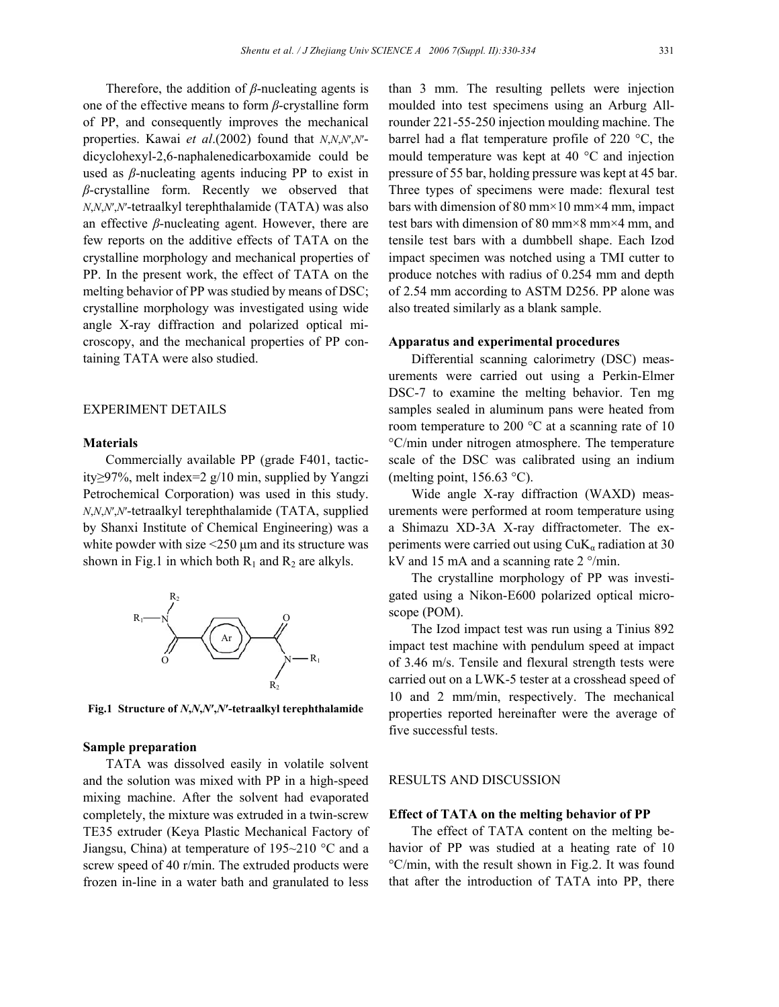Therefore, the addition of *β*-nucleating agents is one of the effective means to form *β*-crystalline form of PP, and consequently improves the mechanical properties. Kawai *et al*.(2002) found that *N*,*N*,*N*′,*N*′ dicyclohexyl-2,6-naphalenedicarboxamide could be used as *β*-nucleating agents inducing PP to exist in *β*-crystalline form. Recently we observed that *N*,*N*,*N*′,*N*′-tetraalkyl terephthalamide (TATA) was also an effective *β*-nucleating agent. However, there are few reports on the additive effects of TATA on the crystalline morphology and mechanical properties of PP. In the present work, the effect of TATA on the melting behavior of PP was studied by means of DSC; crystalline morphology was investigated using wide angle X-ray diffraction and polarized optical microscopy, and the mechanical properties of PP containing TATA were also studied.

## EXPERIMENT DETAILS

#### **Materials**

Commercially available PP (grade F401, tacticity≥97%, melt index=2 g/10 min, supplied by Yangzi Petrochemical Corporation) was used in this study. *N*,*N*,*N*′,*N*′-tetraalkyl terephthalamide (TATA, supplied by Shanxi Institute of Chemical Engineering) was a white powder with size  $\leq$ 250  $\mu$ m and its structure was shown in Fig.1 in which both  $R_1$  and  $R_2$  are alkyls.



**Fig.1 Structure of** *N***,***N***,***N***′,***N***′-tetraalkyl terephthalamide** 

#### **Sample preparation**

TATA was dissolved easily in volatile solvent and the solution was mixed with PP in a high-speed mixing machine. After the solvent had evaporated completely, the mixture was extruded in a twin-screw TE35 extruder (Keya Plastic Mechanical Factory of Jiangsu, China) at temperature of 195~210 °C and a screw speed of 40 r/min. The extruded products were frozen in-line in a water bath and granulated to less

than 3 mm. The resulting pellets were injection moulded into test specimens using an Arburg Allrounder 221-55-250 injection moulding machine. The barrel had a flat temperature profile of 220 °C, the mould temperature was kept at 40 °C and injection pressure of 55 bar, holding pressure was kept at 45 bar. Three types of specimens were made: flexural test bars with dimension of 80 mm×10 mm×4 mm, impact test bars with dimension of 80 mm×8 mm×4 mm, and tensile test bars with a dumbbell shape. Each Izod impact specimen was notched using a TMI cutter to produce notches with radius of 0.254 mm and depth of 2.54 mm according to ASTM D256. PP alone was also treated similarly as a blank sample.

#### **Apparatus and experimental procedures**

Differential scanning calorimetry (DSC) measurements were carried out using a Perkin-Elmer DSC-7 to examine the melting behavior. Ten mg samples sealed in aluminum pans were heated from room temperature to 200 °C at a scanning rate of 10 °C/min under nitrogen atmosphere. The temperature scale of the DSC was calibrated using an indium (melting point,  $156.63$  °C).

Wide angle X-ray diffraction (WAXD) measurements were performed at room temperature using a Shimazu XD-3A X-ray diffractometer. The experiments were carried out using  $CuK<sub>a</sub>$  radiation at 30 kV and 15 mA and a scanning rate 2 °/min.

The crystalline morphology of PP was investigated using a Nikon-E600 polarized optical microscope (POM).

The Izod impact test was run using a Tinius 892 impact test machine with pendulum speed at impact of 3.46 m/s. Tensile and flexural strength tests were carried out on a LWK-5 tester at a crosshead speed of 10 and 2 mm/min, respectively. The mechanical properties reported hereinafter were the average of five successful tests.

## RESULTS AND DISCUSSION

#### **Effect of TATA on the melting behavior of PP**

The effect of TATA content on the melting behavior of PP was studied at a heating rate of 10 °C/min, with the result shown in Fig.2. It was found that after the introduction of TATA into PP, there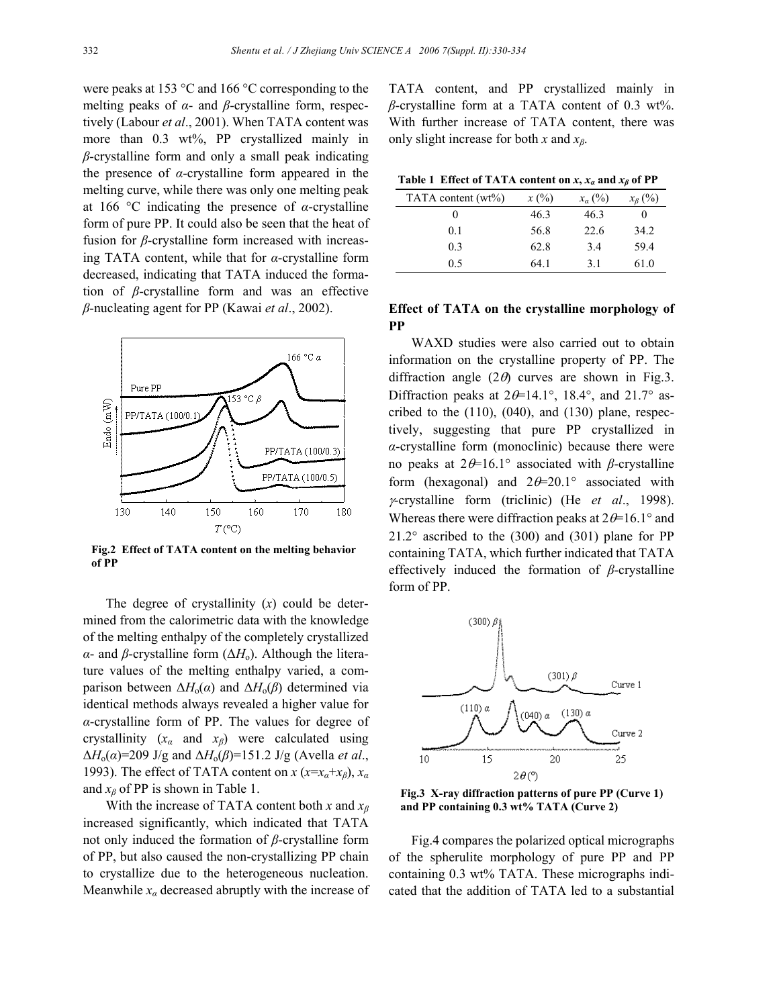were peaks at 153 °C and 166 °C corresponding to the melting peaks of *α*- and *β*-crystalline form, respectively (Labour *et al*., 2001). When TATA content was more than 0.3 wt%, PP crystallized mainly in *β*-crystalline form and only a small peak indicating the presence of *α*-crystalline form appeared in the melting curve, while there was only one melting peak at 166 °C indicating the presence of *α*-crystalline form of pure PP. It could also be seen that the heat of fusion for *β*-crystalline form increased with increasing TATA content, while that for *α*-crystalline form decreased, indicating that TATA induced the formation of *β*-crystalline form and was an effective *β*-nucleating agent for PP (Kawai *et al*., 2002).



**Fig.2 Effect of TATA content on the melting behavior of PP**

The degree of crystallinity (*x*) could be determined from the calorimetric data with the knowledge of the melting enthalpy of the completely crystallized *α*- and *β*-crystalline form ( $\Delta H$ <sub>0</sub>). Although the literature values of the melting enthalpy varied, a comparison between  $\Delta H_0(\alpha)$  and  $\Delta H_0(\beta)$  determined via identical methods always revealed a higher value for *α*-crystalline form of PP. The values for degree of crystallinity (*xα* and *xβ*) were calculated using ∆*H*o(*α*)=209 J/g and ∆*H*o(*β*)=151.2 J/g (Avella *et al*., 1993). The effect of TATA content on  $x$  ( $x=x_a+x_b$ ),  $x_a$ and  $x_\beta$  of PP is shown in Table 1.

With the increase of TATA content both *x* and *x<sup>β</sup>* increased significantly, which indicated that TATA not only induced the formation of *β*-crystalline form of PP, but also caused the non-crystallizing PP chain to crystallize due to the heterogeneous nucleation. Meanwhile  $x_\alpha$  decreased abruptly with the increase of

TATA content, and PP crystallized mainly in *β*-crystalline form at a TATA content of 0.3 wt%. With further increase of TATA content, there was only slight increase for both *x* and *xβ*.

**Table 1 Effect of TATA content on**  $x$ **,**  $x_a$  **and**  $x_b$  **of PP** 

| x(%) | $x_a$ (%) | $x_{\beta}$ (%) |
|------|-----------|-----------------|
| 46.3 | 46.3      |                 |
| 56.8 | 22.6      | 34.2            |
| 62.8 | 34        | 59.4            |
| 64.1 | 31        | 61.0            |
|      |           |                 |

# **Effect of TATA on the crystalline morphology of PP**

WAXD studies were also carried out to obtain information on the crystalline property of PP. The diffraction angle  $(2\theta)$  curves are shown in Fig.3. Diffraction peaks at  $2\theta = 14.1^\circ$ , 18.4°, and 21.7° ascribed to the  $(110)$ ,  $(040)$ , and  $(130)$  plane, respectively, suggesting that pure PP crystallized in *α*-crystalline form (monoclinic) because there were no peaks at 2θ=16.1° associated with *β*-crystalline form (hexagonal) and  $2\theta = 20.1^\circ$  associated with <sup>γ</sup>-crystalline form (triclinic) (He *et al*., 1998). Whereas there were diffraction peaks at  $2\theta = 16.1^\circ$  and 21.2° ascribed to the (300) and (301) plane for PP containing TATA, which further indicated that TATA effectively induced the formation of *β*-crystalline form of PP.



**Fig.3 X-ray diffraction patterns of pure PP (Curve 1) and PP containing 0.3 wt% TATA (Curve 2)**

Fig.4 compares the polarized optical micrographs of the spherulite morphology of pure PP and PP containing 0.3 wt% TATA. These micrographs indicated that the addition of TATA led to a substantial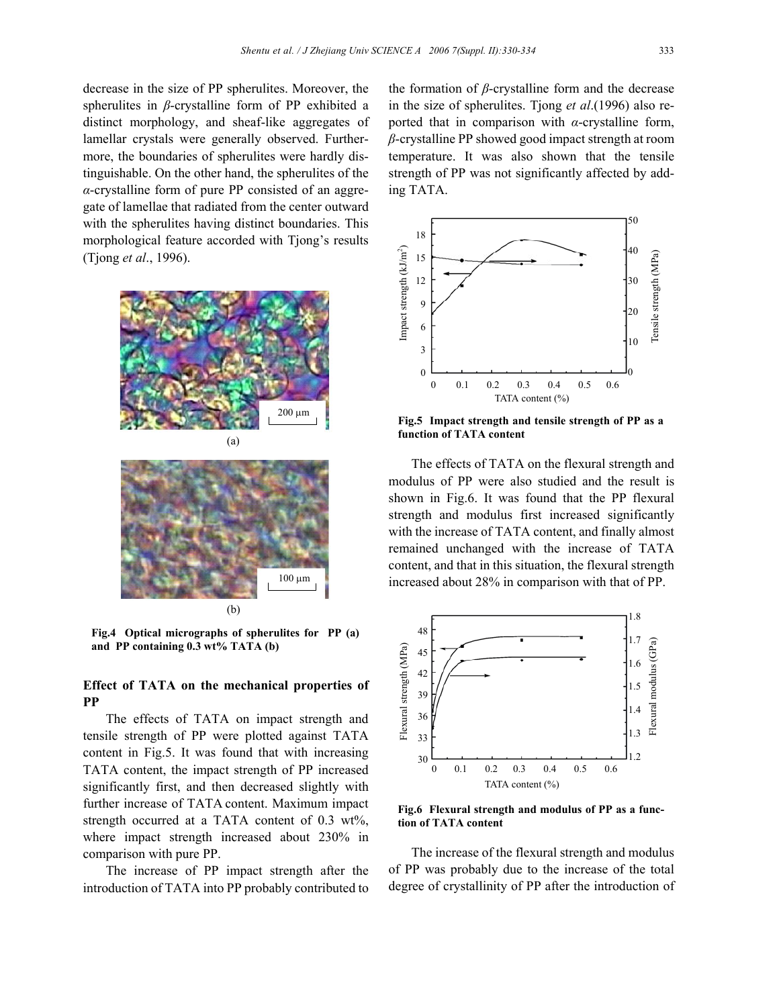decrease in the size of PP spherulites. Moreover, the spherulites in *β*-crystalline form of PP exhibited a distinct morphology, and sheaf-like aggregates of lamellar crystals were generally observed. Furthermore, the boundaries of spherulites were hardly distinguishable. On the other hand, the spherulites of the *α*-crystalline form of pure PP consisted of an aggregate of lamellae that radiated from the center outward with the spherulites having distinct boundaries. This morphological feature accorded with Tjong's results (Tjong *et al*., 1996).





**Fig.4 Optical micrographs of spherulites for PP (a) and PP containing 0.3 wt% TATA (b)**

## **Effect of TATA on the mechanical properties of PP**

The effects of TATA on impact strength and tensile strength of PP were plotted against TATA content in Fig.5. It was found that with increasing TATA content, the impact strength of PP increased significantly first, and then decreased slightly with further increase of TATA content. Maximum impact strength occurred at a TATA content of 0.3 wt%, where impact strength increased about 230% in comparison with pure PP.

The increase of PP impact strength after the introduction of TATA into PP probably contributed to

the formation of *β*-crystalline form and the decrease in the size of spherulites. Tjong *et al*.(1996) also reported that in comparison with *α*-crystalline form, *β*-crystalline PP showed good impact strength at room temperature. It was also shown that the tensile strength of PP was not significantly affected by adding TATA.



**Fig.5 Impact strength and tensile strength of PP as a function of TATA content**

The effects of TATA on the flexural strength and modulus of PP were also studied and the result is shown in Fig.6. It was found that the PP flexural strength and modulus first increased significantly with the increase of TATA content, and finally almost remained unchanged with the increase of TATA content, and that in this situation, the flexural strength increased about 28% in comparison with that of PP.



**Fig.6 Flexural strength and modulus of PP as a function of TATA content**

The increase of the flexural strength and modulus of PP was probably due to the increase of the total degree of crystallinity of PP after the introduction of